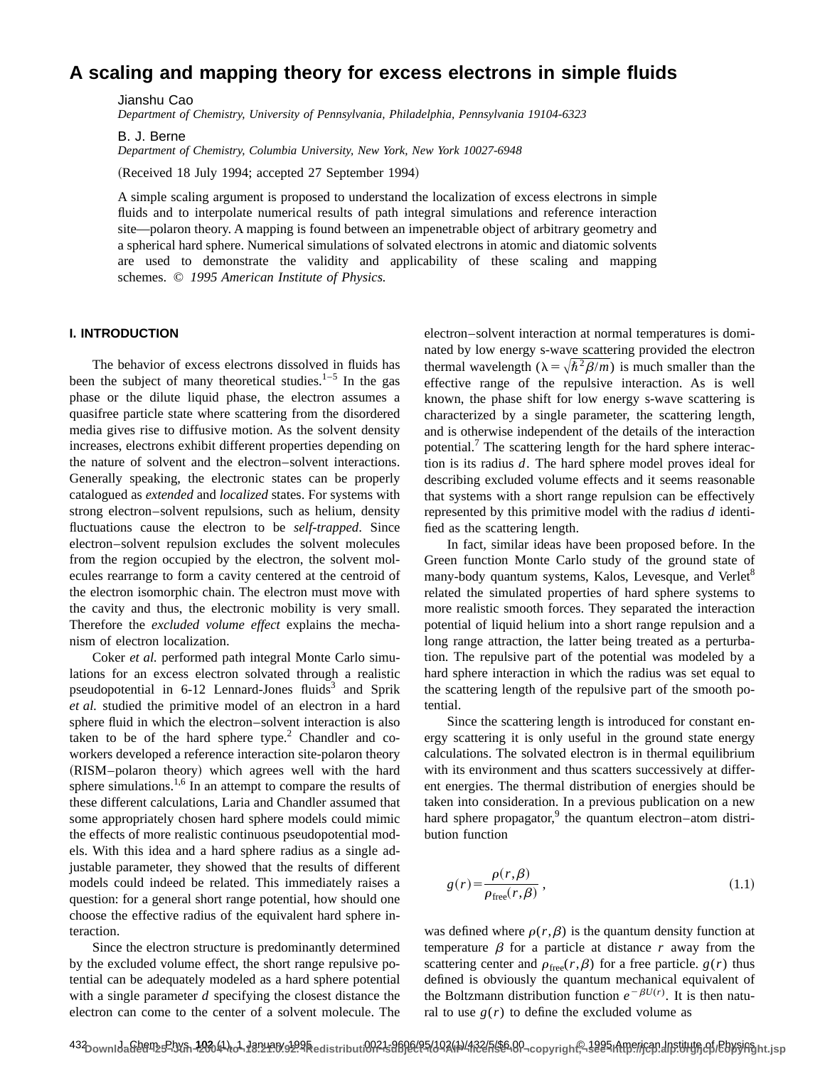# **A scaling and mapping theory for excess electrons in simple fluids**

Jianshu Cao

*Department of Chemistry, University of Pennsylvania, Philadelphia, Pennsylvania 19104-6323*

B. J. Berne

*Department of Chemistry, Columbia University, New York, New York 10027-6948*

(Received 18 July 1994; accepted 27 September 1994)

A simple scaling argument is proposed to understand the localization of excess electrons in simple fluids and to interpolate numerical results of path integral simulations and reference interaction site—polaron theory. A mapping is found between an impenetrable object of arbitrary geometry and a spherical hard sphere. Numerical simulations of solvated electrons in atomic and diatomic solvents are used to demonstrate the validity and applicability of these scaling and mapping schemes. © *1995 American Institute of Physics.*

# **I. INTRODUCTION**

The behavior of excess electrons dissolved in fluids has been the subject of many theoretical studies. $1-5$  In the gas phase or the dilute liquid phase, the electron assumes a quasifree particle state where scattering from the disordered media gives rise to diffusive motion. As the solvent density increases, electrons exhibit different properties depending on the nature of solvent and the electron–solvent interactions. Generally speaking, the electronic states can be properly catalogued as *extended* and *localized* states. For systems with strong electron–solvent repulsions, such as helium, density fluctuations cause the electron to be *self-trapped*. Since electron–solvent repulsion excludes the solvent molecules from the region occupied by the electron, the solvent molecules rearrange to form a cavity centered at the centroid of the electron isomorphic chain. The electron must move with the cavity and thus, the electronic mobility is very small. Therefore the *excluded volume effect* explains the mechanism of electron localization.

Coker *et al.* performed path integral Monte Carlo simulations for an excess electron solvated through a realistic pseudopotential in  $6-12$  Lennard-Jones fluids<sup>3</sup> and Sprik *et al.* studied the primitive model of an electron in a hard sphere fluid in which the electron–solvent interaction is also taken to be of the hard sphere type.<sup>2</sup> Chandler and coworkers developed a reference interaction site-polaron theory (RISM–polaron theory) which agrees well with the hard sphere simulations.<sup>1,6</sup> In an attempt to compare the results of these different calculations, Laria and Chandler assumed that some appropriately chosen hard sphere models could mimic the effects of more realistic continuous pseudopotential models. With this idea and a hard sphere radius as a single adjustable parameter, they showed that the results of different models could indeed be related. This immediately raises a question: for a general short range potential, how should one choose the effective radius of the equivalent hard sphere interaction.

Since the electron structure is predominantly determined by the excluded volume effect, the short range repulsive potential can be adequately modeled as a hard sphere potential with a single parameter *d* specifying the closest distance the electron can come to the center of a solvent molecule. The electron–solvent interaction at normal temperatures is dominated by low energy s-wave scattering provided the electron thermal wavelength ( $\lambda = \sqrt{\hbar^2 \beta/m}$ ) is much smaller than the effective range of the repulsive interaction. As is well known, the phase shift for low energy s-wave scattering is characterized by a single parameter, the scattering length, and is otherwise independent of the details of the interaction potential.<sup>7</sup> The scattering length for the hard sphere interaction is its radius *d*. The hard sphere model proves ideal for describing excluded volume effects and it seems reasonable that systems with a short range repulsion can be effectively represented by this primitive model with the radius *d* identified as the scattering length.

In fact, similar ideas have been proposed before. In the Green function Monte Carlo study of the ground state of many-body quantum systems, Kalos, Levesque, and Verlet<sup>8</sup> related the simulated properties of hard sphere systems to more realistic smooth forces. They separated the interaction potential of liquid helium into a short range repulsion and a long range attraction, the latter being treated as a perturbation. The repulsive part of the potential was modeled by a hard sphere interaction in which the radius was set equal to the scattering length of the repulsive part of the smooth potential.

Since the scattering length is introduced for constant energy scattering it is only useful in the ground state energy calculations. The solvated electron is in thermal equilibrium with its environment and thus scatters successively at different energies. The thermal distribution of energies should be taken into consideration. In a previous publication on a new hard sphere propagator, $9$  the quantum electron–atom distribution function

$$
g(r) = \frac{\rho(r,\beta)}{\rho_{\text{free}}(r,\beta)}\,,\tag{1.1}
$$

was defined where  $\rho(r,\beta)$  is the quantum density function at temperature  $\beta$  for a particle at distance *r* away from the scattering center and  $\rho_{\text{free}}(r,\beta)$  for a free particle. *g*(*r*) thus defined is obviously the quantum mechanical equivalent of the Boltzmann distribution function  $e^{-\beta U(r)}$ . It is then natural to use  $g(r)$  to define the excluded volume as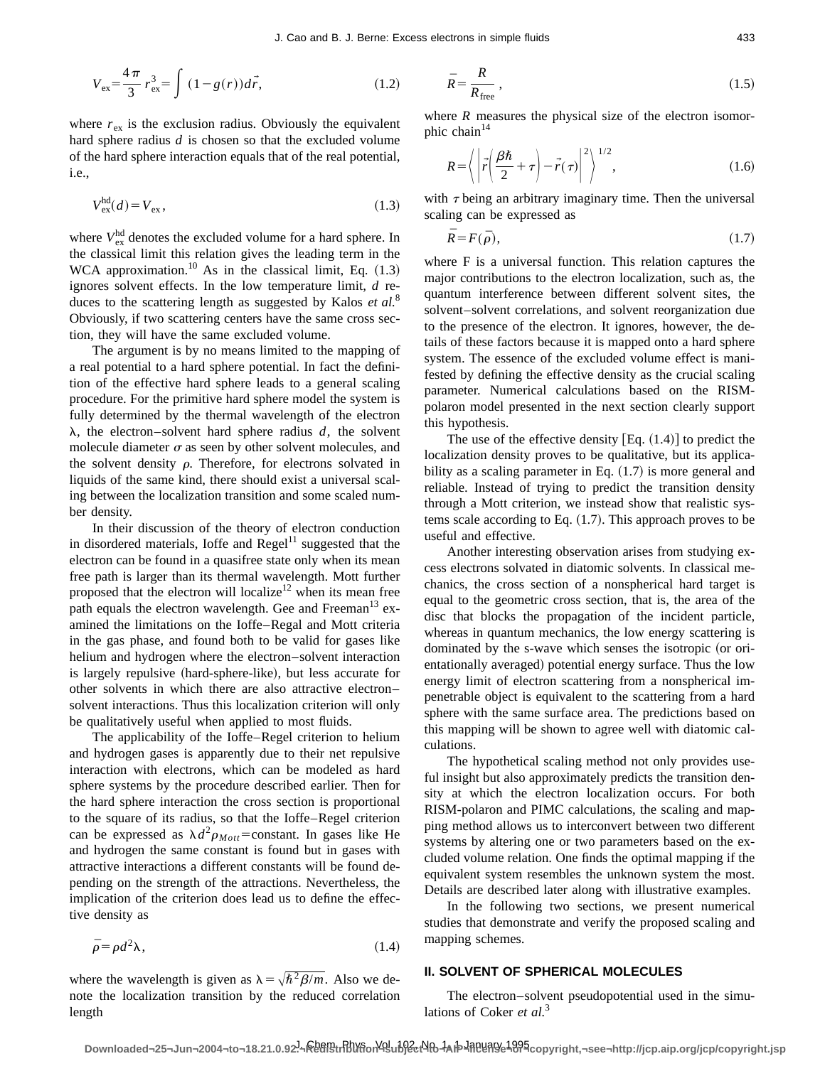$$
V_{\rm ex} = \frac{4\,\pi}{3} \, r_{\rm ex}^3 = \int \, (1 - g(r)) \, d\vec{r},\tag{1.2}
$$

where  $r_{\rm ex}$  is the exclusion radius. Obviously the equivalent hard sphere radius *d* is chosen so that the excluded volume of the hard sphere interaction equals that of the real potential, i.e.,

$$
V_{\text{ex}}^{\text{hd}}(d) = V_{\text{ex}}\,,\tag{1.3}
$$

where  $V_{\text{ex}}^{\text{hd}}$  denotes the excluded volume for a hard sphere. In the classical limit this relation gives the leading term in the WCA approximation.<sup>10</sup> As in the classical limit, Eq.  $(1.3)$ ignores solvent effects. In the low temperature limit, *d* reduces to the scattering length as suggested by Kalos *et al.*<sup>8</sup> Obviously, if two scattering centers have the same cross section, they will have the same excluded volume.

The argument is by no means limited to the mapping of a real potential to a hard sphere potential. In fact the definition of the effective hard sphere leads to a general scaling procedure. For the primitive hard sphere model the system is fully determined by the thermal wavelength of the electron  $\lambda$ , the electron–solvent hard sphere radius *d*, the solvent molecule diameter  $\sigma$  as seen by other solvent molecules, and the solvent density  $\rho$ . Therefore, for electrons solvated in liquids of the same kind, there should exist a universal scaling between the localization transition and some scaled number density.

In their discussion of the theory of electron conduction in disordered materials, Ioffe and  $Regel<sup>11</sup>$  suggested that the electron can be found in a quasifree state only when its mean free path is larger than its thermal wavelength. Mott further proposed that the electron will localize<sup>12</sup> when its mean free path equals the electron wavelength. Gee and Freeman<sup>13</sup> examined the limitations on the Ioffe–Regal and Mott criteria in the gas phase, and found both to be valid for gases like helium and hydrogen where the electron–solvent interaction is largely repulsive (hard-sphere-like), but less accurate for other solvents in which there are also attractive electron– solvent interactions. Thus this localization criterion will only be qualitatively useful when applied to most fluids.

The applicability of the Ioffe–Regel criterion to helium and hydrogen gases is apparently due to their net repulsive interaction with electrons, which can be modeled as hard sphere systems by the procedure described earlier. Then for the hard sphere interaction the cross section is proportional to the square of its radius, so that the Ioffe–Regel criterion can be expressed as  $\lambda d^2 \rho_{Mott}$ =constant. In gases like He and hydrogen the same constant is found but in gases with attractive interactions a different constants will be found depending on the strength of the attractions. Nevertheless, the implication of the criterion does lead us to define the effective density as

$$
\bar{\rho} = \rho d^2 \lambda,\tag{1.4}
$$

where the wavelength is given as  $\lambda = \sqrt{\hbar^2 \beta/m}$ . Also we denote the localization transition by the reduced correlation length

$$
\bar{R} = \frac{R}{R_{\text{free}}},\tag{1.5}
$$

where *R* measures the physical size of the electron isomorphic chain $14$ 

$$
R = \left\langle \left| \vec{r} \left( \frac{\beta \hbar}{2} + \tau \right) - \vec{r}(\tau) \right|^2 \right\rangle^{1/2}, \tag{1.6}
$$

with  $\tau$  being an arbitrary imaginary time. Then the universal scaling can be expressed as

$$
\bar{R} = F(\bar{\rho}),\tag{1.7}
$$

where F is a universal function. This relation captures the major contributions to the electron localization, such as, the quantum interference between different solvent sites, the solvent–solvent correlations, and solvent reorganization due to the presence of the electron. It ignores, however, the details of these factors because it is mapped onto a hard sphere system. The essence of the excluded volume effect is manifested by defining the effective density as the crucial scaling parameter. Numerical calculations based on the RISMpolaron model presented in the next section clearly support this hypothesis.

The use of the effective density  $[Eq. (1.4)]$  to predict the localization density proves to be qualitative, but its applicability as a scaling parameter in Eq.  $(1.7)$  is more general and reliable. Instead of trying to predict the transition density through a Mott criterion, we instead show that realistic systems scale according to Eq.  $(1.7)$ . This approach proves to be useful and effective.

Another interesting observation arises from studying excess electrons solvated in diatomic solvents. In classical mechanics, the cross section of a nonspherical hard target is equal to the geometric cross section, that is, the area of the disc that blocks the propagation of the incident particle, whereas in quantum mechanics, the low energy scattering is dominated by the s-wave which senses the isotropic (or orientationally averaged) potential energy surface. Thus the low energy limit of electron scattering from a nonspherical impenetrable object is equivalent to the scattering from a hard sphere with the same surface area. The predictions based on this mapping will be shown to agree well with diatomic calculations.

The hypothetical scaling method not only provides useful insight but also approximately predicts the transition density at which the electron localization occurs. For both RISM-polaron and PIMC calculations, the scaling and mapping method allows us to interconvert between two different systems by altering one or two parameters based on the excluded volume relation. One finds the optimal mapping if the equivalent system resembles the unknown system the most. Details are described later along with illustrative examples.

In the following two sections, we present numerical studies that demonstrate and verify the proposed scaling and mapping schemes.

### **II. SOLVENT OF SPHERICAL MOLECULES**

The electron–solvent pseudopotential used in the simulations of Coker *et al.*<sup>3</sup>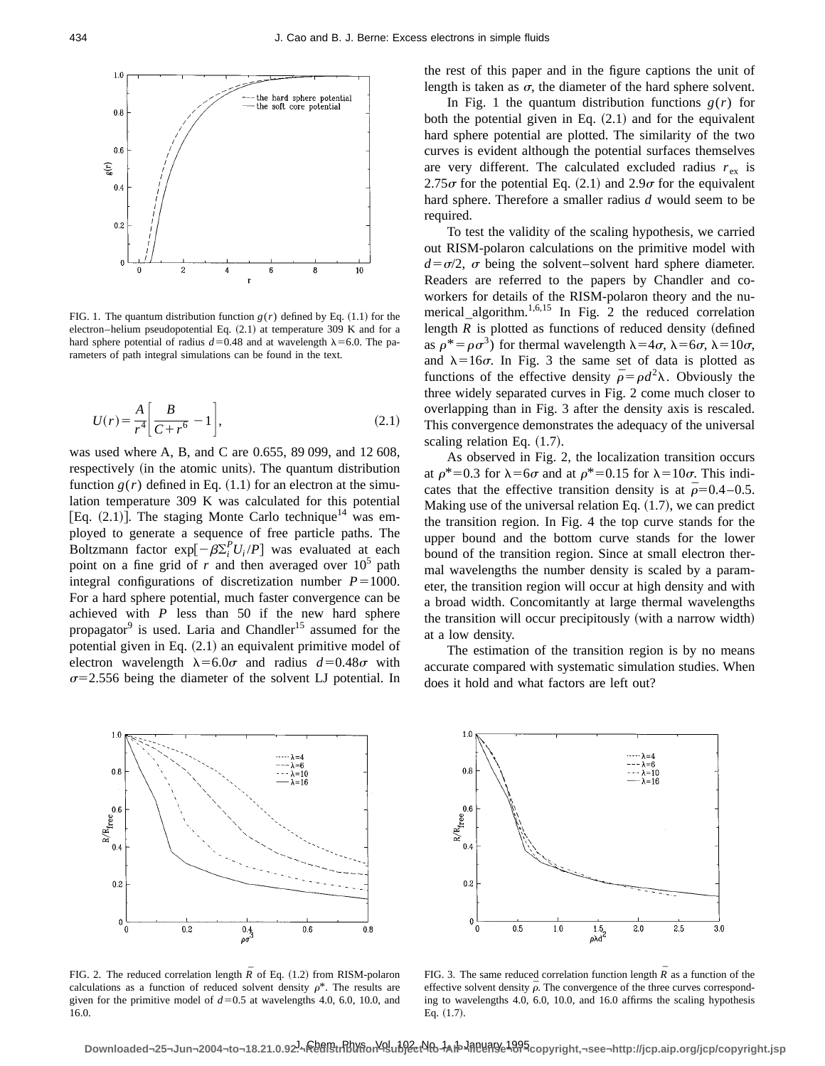

FIG. 1. The quantum distribution function  $g(r)$  defined by Eq. (1.1) for the electron–helium pseudopotential Eq.  $(2.1)$  at temperature 309 K and for a hard sphere potential of radius  $d=0.48$  and at wavelength  $\lambda=6.0$ . The parameters of path integral simulations can be found in the text.

$$
U(r) = \frac{A}{r^4} \left[ \frac{B}{C + r^6} - 1 \right],
$$
\n(2.1)

was used where A, B, and C are 0.655, 89 099, and 12 608, respectively (in the atomic units). The quantum distribution function  $g(r)$  defined in Eq.  $(1.1)$  for an electron at the simulation temperature 309 K was calculated for this potential [Eq.  $(2.1)$ ]. The staging Monte Carlo technique<sup>14</sup> was employed to generate a sequence of free particle paths. The Boltzmann factor  $exp[-\beta \Sigma_i^P U_i/P]$  was evaluated at each point on a fine grid of  $r$  and then averaged over  $10<sup>5</sup>$  path integral configurations of discretization number  $P=1000$ . For a hard sphere potential, much faster convergence can be achieved with *P* less than 50 if the new hard sphere propagator<sup>9</sup> is used. Laria and Chandler<sup>15</sup> assumed for the potential given in Eq.  $(2.1)$  an equivalent primitive model of electron wavelength  $\lambda=6.0\sigma$  and radius  $d=0.48\sigma$  with  $\sigma$ =2.556 being the diameter of the solvent LJ potential. In



FIG. 2. The reduced correlation length  $\overline{R}$  of Eq. (1.2) from RISM-polaron calculations as a function of reduced solvent density  $\rho^*$ . The results are given for the primitive model of  $d=0.5$  at wavelengths 4.0, 6.0, 10.0, and 16.0.

the rest of this paper and in the figure captions the unit of length is taken as  $\sigma$ , the diameter of the hard sphere solvent.

In Fig. 1 the quantum distribution functions  $g(r)$  for both the potential given in Eq.  $(2.1)$  and for the equivalent hard sphere potential are plotted. The similarity of the two curves is evident although the potential surfaces themselves are very different. The calculated excluded radius  $r_{\rm ex}$  is 2.75 $\sigma$  for the potential Eq. (2.1) and 2.9 $\sigma$  for the equivalent hard sphere. Therefore a smaller radius *d* would seem to be required.

To test the validity of the scaling hypothesis, we carried out RISM-polaron calculations on the primitive model with  $d=\sigma/2$ ,  $\sigma$  being the solvent–solvent hard sphere diameter. Readers are referred to the papers by Chandler and coworkers for details of the RISM-polaron theory and the numerical algorithm.<sup>1,6,15</sup> In Fig. 2 the reduced correlation length  $\overline{R}$  is plotted as functions of reduced density (defined as  $\rho^* = \rho \sigma^3$ ) for thermal wavelength  $\lambda = 4\sigma$ ,  $\lambda = 6\sigma$ ,  $\lambda = 10\sigma$ , and  $\lambda=16\sigma$ . In Fig. 3 the same set of data is plotted as functions of the effective density  $\bar{\rho} = \rho d^2 \lambda$ . Obviously the three widely separated curves in Fig. 2 come much closer to overlapping than in Fig. 3 after the density axis is rescaled. This convergence demonstrates the adequacy of the universal scaling relation Eq.  $(1.7)$ .

As observed in Fig. 2, the localization transition occurs at  $\rho^*=0.3$  for  $\lambda=6\sigma$  and at  $\rho^*=0.15$  for  $\lambda=10\sigma$ . This indicates that the effective transition density is at  $\bar{p}=0.4-0.5$ . Making use of the universal relation Eq.  $(1.7)$ , we can predict the transition region. In Fig. 4 the top curve stands for the upper bound and the bottom curve stands for the lower bound of the transition region. Since at small electron thermal wavelengths the number density is scaled by a parameter, the transition region will occur at high density and with a broad width. Concomitantly at large thermal wavelengths the transition will occur precipitously (with a narrow width) at a low density.

The estimation of the transition region is by no means accurate compared with systematic simulation studies. When does it hold and what factors are left out?



FIG. 3. The same reduced correlation function length  $\bar{R}$  as a function of the effective solvent density  $\bar{\rho}$ . The convergence of the three curves corresponding to wavelengths 4.0, 6.0, 10.0, and 16.0 affirms the scaling hypothesis Eq.  $(1.7)$ .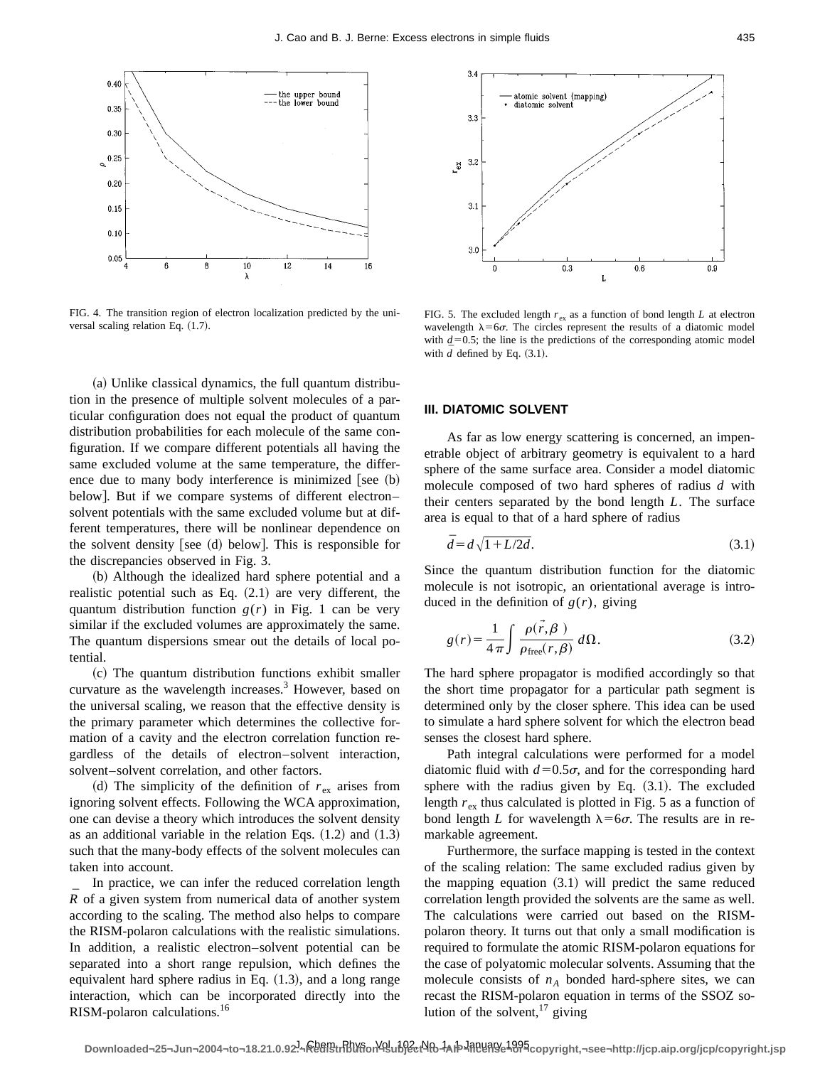

FIG. 4. The transition region of electron localization predicted by the universal scaling relation Eq.  $(1.7)$ .

 $(a)$  Unlike classical dynamics, the full quantum distribution in the presence of multiple solvent molecules of a particular configuration does not equal the product of quantum distribution probabilities for each molecule of the same configuration. If we compare different potentials all having the same excluded volume at the same temperature, the difference due to many body interference is minimized [see  $(b)$ below]. But if we compare systems of different electron– solvent potentials with the same excluded volume but at different temperatures, there will be nonlinear dependence on the solvent density [see  $(d)$  below]. This is responsible for the discrepancies observed in Fig. 3.

(b) Although the idealized hard sphere potential and a realistic potential such as Eq.  $(2.1)$  are very different, the quantum distribution function  $g(r)$  in Fig. 1 can be very similar if the excluded volumes are approximately the same. The quantum dispersions smear out the details of local potential.

~c! The quantum distribution functions exhibit smaller curvature as the wavelength increases.3 However, based on the universal scaling, we reason that the effective density is the primary parameter which determines the collective formation of a cavity and the electron correlation function regardless of the details of electron–solvent interaction, solvent–solvent correlation, and other factors.

(d) The simplicity of the definition of  $r_{\rm ex}$  arises from ignoring solvent effects. Following the WCA approximation, one can devise a theory which introduces the solvent density as an additional variable in the relation Eqs.  $(1.2)$  and  $(1.3)$ such that the many-body effects of the solvent molecules can taken into account.

In practice, we can infer the reduced correlation length *R* of a given system from numerical data of another system according to the scaling. The method also helps to compare the RISM-polaron calculations with the realistic simulations. In addition, a realistic electron–solvent potential can be separated into a short range repulsion, which defines the equivalent hard sphere radius in Eq.  $(1.3)$ , and a long range interaction, which can be incorporated directly into the RISM-polaron calculations.<sup>16</sup>



FIG. 5. The excluded length  $r_{\text{ex}}$  as a function of bond length  $L$  at electron wavelength  $\lambda = 6\sigma$ . The circles represent the results of a diatomic model with  $d=0.5$ ; the line is the predictions of the corresponding atomic model with  $\bar{d}$  defined by Eq. (3.1).

#### **III. DIATOMIC SOLVENT**

As far as low energy scattering is concerned, an impenetrable object of arbitrary geometry is equivalent to a hard sphere of the same surface area. Consider a model diatomic molecule composed of two hard spheres of radius *d* with their centers separated by the bond length *L*. The surface area is equal to that of a hard sphere of radius

$$
\bar{d} = d\sqrt{1 + L/2d}.\tag{3.1}
$$

Since the quantum distribution function for the diatomic molecule is not isotropic, an orientational average is introduced in the definition of  $g(r)$ , giving

$$
g(r) = \frac{1}{4\pi} \int \frac{\rho(\vec{r}, \beta)}{\rho_{\text{free}}(r, \beta)} d\Omega.
$$
 (3.2)

The hard sphere propagator is modified accordingly so that the short time propagator for a particular path segment is determined only by the closer sphere. This idea can be used to simulate a hard sphere solvent for which the electron bead senses the closest hard sphere.

Path integral calculations were performed for a model diatomic fluid with  $d=0.5\sigma$ , and for the corresponding hard sphere with the radius given by Eq.  $(3.1)$ . The excluded length  $r_{\text{ex}}$  thus calculated is plotted in Fig. 5 as a function of bond length *L* for wavelength  $\lambda=6\sigma$ . The results are in remarkable agreement.

Furthermore, the surface mapping is tested in the context of the scaling relation: The same excluded radius given by the mapping equation  $(3.1)$  will predict the same reduced correlation length provided the solvents are the same as well. The calculations were carried out based on the RISMpolaron theory. It turns out that only a small modification is required to formulate the atomic RISM-polaron equations for the case of polyatomic molecular solvents. Assuming that the molecule consists of  $n_A$  bonded hard-sphere sites, we can recast the RISM-polaron equation in terms of the SSOZ solution of the solvent,  $17$  giving